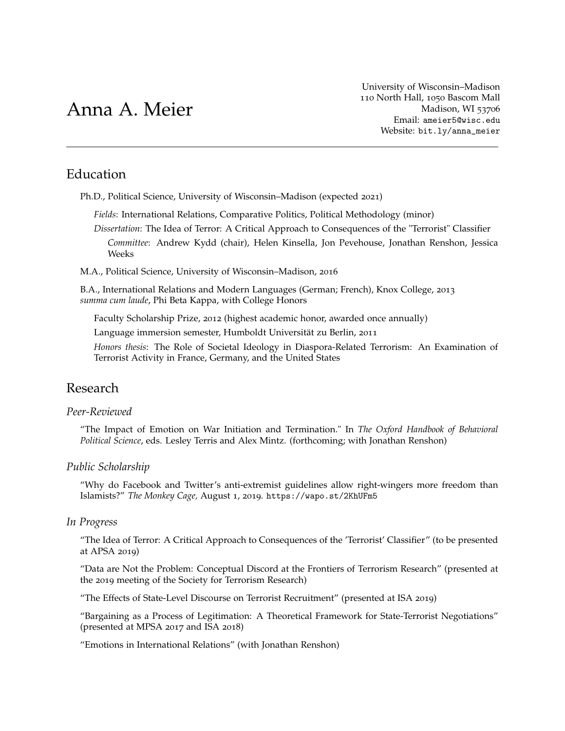# Anna A. Meier

[University of Wisconsin–Madison](http://polisci.wisc.edu/) 110 North Hall, 1050 Bascom Mall Madison, WI 53706 Email: [ameier5@wisc.edu](mailto:ameier5@wisc.edu) Website: [bit.ly/anna\\_meier](http://bit.ly/anna_meier)

# Education

Ph.D., Political Science, University of Wisconsin–Madison (expected 2021)

*Fields*: International Relations, Comparative Politics, Political Methodology (minor)

*Dissertation*: The Idea of Terror: A Critical Approach to Consequences of the "Terrorist" Classifier *Committee*: Andrew Kydd (chair), Helen Kinsella, Jon Pevehouse, Jonathan Renshon, Jessica Weeks

M.A., Political Science, University of Wisconsin–Madison, 2016

B.A., International Relations and Modern Languages (German; French), Knox College, 2013 *summa cum laude*, Phi Beta Kappa, with College Honors

Faculty Scholarship Prize, 2012 (highest academic honor, awarded once annually)

Language immersion semester, Humboldt Universität zu Berlin, 2011

*Honors thesis*: The Role of Societal Ideology in Diaspora-Related Terrorism: An Examination of Terrorist Activity in France, Germany, and the United States

# Research

#### *Peer-Reviewed*

"The Impact of Emotion on War Initiation and Termination." In *The Oxford Handbook of Behavioral Political Science*, eds. Lesley Terris and Alex Mintz. (forthcoming; with Jonathan Renshon)

## *Public Scholarship*

"Why do Facebook and Twitter's anti-extremist guidelines allow right-wingers more freedom than Islamists?" *The Monkey Cage,* August 1, 2019. <https://wapo.st/2KhUFm5>

## *In Progress*

"The Idea of Terror: A Critical Approach to Consequences of the 'Terrorist' Classifier" (to be presented at APSA 2019)

"Data are Not the Problem: Conceptual Discord at the Frontiers of Terrorism Research" (presented at the 2019 meeting of the Society for Terrorism Research)

"The Effects of State-Level Discourse on Terrorist Recruitment" (presented at ISA 2019)

"Bargaining as a Process of Legitimation: A Theoretical Framework for State-Terrorist Negotiations" (presented at MPSA 2017 and ISA 2018)

"Emotions in International Relations" (with Jonathan Renshon)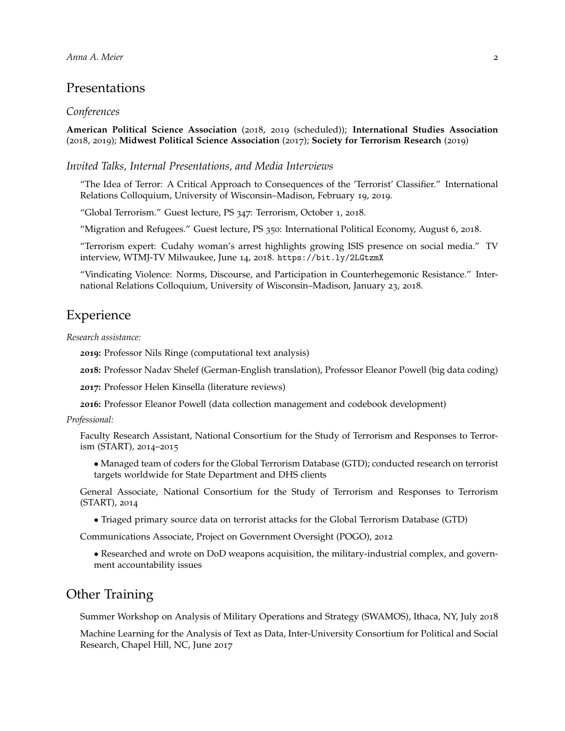## Presentations

#### *Conferences*

**American Political Science Association** (2018, 2019 (scheduled)); **International Studies Association** (2018, 2019); **Midwest Political Science Association** (2017); **Society for Terrorism Research** (2019)

*Invited Talks, Internal Presentations, and Media Interviews*

"The Idea of Terror: A Critical Approach to Consequences of the 'Terrorist' Classifier." International Relations Colloquium, University of Wisconsin–Madison, February 19, 2019.

"Global Terrorism." Guest lecture, PS 347: Terrorism, October 1, 2018.

"Migration and Refugees." Guest lecture, PS 350: International Political Economy, August 6, 2018.

"Terrorism expert: Cudahy woman's arrest highlights growing ISIS presence on social media." TV interview, WTMJ-TV Milwaukee, June 14, 2018. <https://bit.ly/2LGtzmX>

"Vindicating Violence: Norms, Discourse, and Participation in Counterhegemonic Resistance." International Relations Colloquium, University of Wisconsin–Madison, January 23, 2018.

## Experience

*Research assistance:*

**2019:** Professor Nils Ringe (computational text analysis)

**2018:** Professor Nadav Shelef (German-English translation), Professor Eleanor Powell (big data coding)

**2017:** Professor Helen Kinsella (literature reviews)

**2016:** Professor Eleanor Powell (data collection management and codebook development)

#### *Professional:*

Faculty Research Assistant, National Consortium for the Study of Terrorism and Responses to Terrorism (START), 2014–2015

• Managed team of coders for the Global Terrorism Database (GTD); conducted research on terrorist targets worldwide for State Department and DHS clients

General Associate, National Consortium for the Study of Terrorism and Responses to Terrorism (START), 2014

• Triaged primary source data on terrorist attacks for the Global Terrorism Database (GTD)

Communications Associate, Project on Government Oversight (POGO), 2012

• Researched and wrote on DoD weapons acquisition, the military-industrial complex, and government accountability issues

## Other Training

Summer Workshop on Analysis of Military Operations and Strategy (SWAMOS), Ithaca, NY, July 2018

Machine Learning for the Analysis of Text as Data, Inter-University Consortium for Political and Social Research, Chapel Hill, NC, June 2017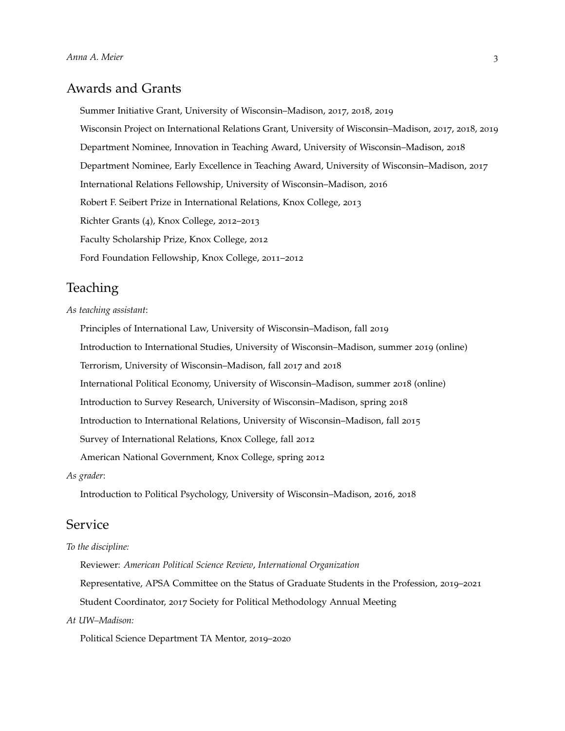## Awards and Grants

Summer Initiative Grant, University of Wisconsin–Madison, 2017, 2018, 2019

Wisconsin Project on International Relations Grant, University of Wisconsin–Madison, 2017, 2018, 2019

Department Nominee, Innovation in Teaching Award, University of Wisconsin–Madison, 2018

Department Nominee, Early Excellence in Teaching Award, University of Wisconsin–Madison, 2017

International Relations Fellowship, University of Wisconsin–Madison, 2016

Robert F. Seibert Prize in International Relations, Knox College, 2013

Richter Grants (4), Knox College, 2012–2013

Faculty Scholarship Prize, Knox College, 2012

Ford Foundation Fellowship, Knox College, 2011–2012

# **Teaching**

#### *As teaching assistant*:

Principles of International Law, University of Wisconsin–Madison, fall 2019 Introduction to International Studies, University of Wisconsin–Madison, summer 2019 (online) Terrorism, University of Wisconsin–Madison, fall 2017 and 2018 International Political Economy, University of Wisconsin–Madison, summer 2018 (online) Introduction to Survey Research, University of Wisconsin–Madison, spring 2018 Introduction to International Relations, University of Wisconsin–Madison, fall 2015 Survey of International Relations, Knox College, fall 2012 American National Government, Knox College, spring 2012

*As grader*:

Introduction to Political Psychology, University of Wisconsin–Madison, 2016, 2018

## Service

#### *To the discipline:*

Reviewer: *American Political Science Review*, *International Organization* Representative, APSA Committee on the Status of Graduate Students in the Profession, 2019–2021 Student Coordinator, 2017 Society for Political Methodology Annual Meeting

#### *At UW–Madison:*

Political Science Department TA Mentor, 2019–2020